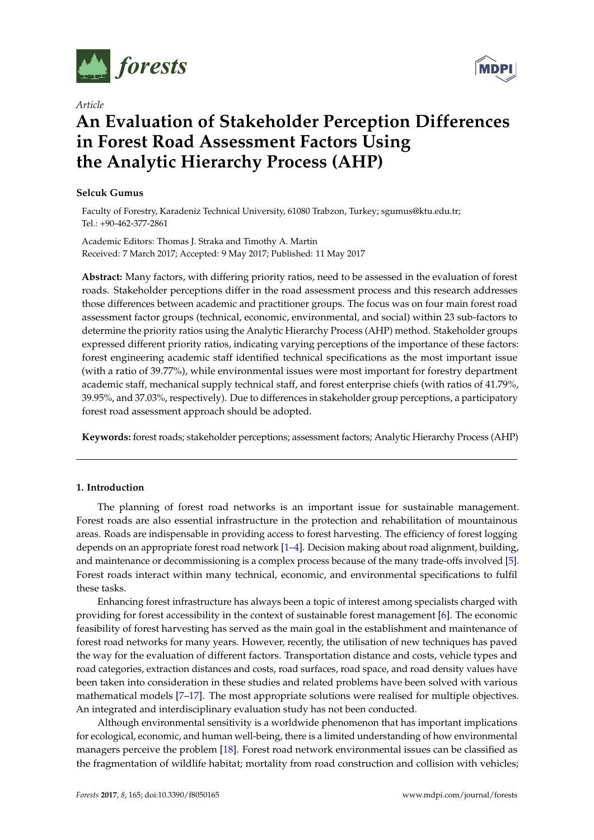

*Article*

# **MDPI**

# **An Evaluation of Stakeholder Perception Differences in Forest Road Assessment Factors Using the Analytic Hierarchy Process (AHP)**

# **Selcuk Gumus**

Faculty of Forestry, Karadeniz Technical University, 61080 Trabzon, Turkey; sgumus@ktu.edu.tr; Tel.: +90-462-377-2861

Academic Editors: Thomas J. Straka and Timothy A. Martin Received: 7 March 2017; Accepted: 9 May 2017; Published: 11 May 2017

**Abstract:** Many factors, with differing priority ratios, need to be assessed in the evaluation of forest roads. Stakeholder perceptions differ in the road assessment process and this research addresses those differences between academic and practitioner groups. The focus was on four main forest road assessment factor groups (technical, economic, environmental, and social) within 23 sub-factors to determine the priority ratios using the Analytic Hierarchy Process (AHP) method. Stakeholder groups expressed different priority ratios, indicating varying perceptions of the importance of these factors: forest engineering academic staff identified technical specifications as the most important issue (with a ratio of 39.77%), while environmental issues were most important for forestry department academic staff, mechanical supply technical staff, and forest enterprise chiefs (with ratios of 41.79%, 39.95%, and 37.03%, respectively). Due to differences in stakeholder group perceptions, a participatory forest road assessment approach should be adopted.

**Keywords:** forest roads; stakeholder perceptions; assessment factors; Analytic Hierarchy Process (AHP)

# **1. Introduction**

The planning of forest road networks is an important issue for sustainable management. Forest roads are also essential infrastructure in the protection and rehabilitation of mountainous areas. Roads are indispensable in providing access to forest harvesting. The efficiency of forest logging depends on an appropriate forest road network [\[1–](#page-7-0)[4\]](#page-7-1). Decision making about road alignment, building, and maintenance or decommissioning is a complex process because of the many trade-offs involved [\[5\]](#page-7-2). Forest roads interact within many technical, economic, and environmental specifications to fulfil these tasks.

Enhancing forest infrastructure has always been a topic of interest among specialists charged with providing for forest accessibility in the context of sustainable forest management [\[6\]](#page-7-3). The economic feasibility of forest harvesting has served as the main goal in the establishment and maintenance of forest road networks for many years. However, recently, the utilisation of new techniques has paved the way for the evaluation of different factors. Transportation distance and costs, vehicle types and road categories, extraction distances and costs, road surfaces, road space, and road density values have been taken into consideration in these studies and related problems have been solved with various mathematical models [\[7](#page-7-4)[–17\]](#page-7-5). The most appropriate solutions were realised for multiple objectives. An integrated and interdisciplinary evaluation study has not been conducted.

Although environmental sensitivity is a worldwide phenomenon that has important implications for ecological, economic, and human well-being, there is a limited understanding of how environmental managers perceive the problem [\[18\]](#page-7-6). Forest road network environmental issues can be classified as the fragmentation of wildlife habitat; mortality from road construction and collision with vehicles;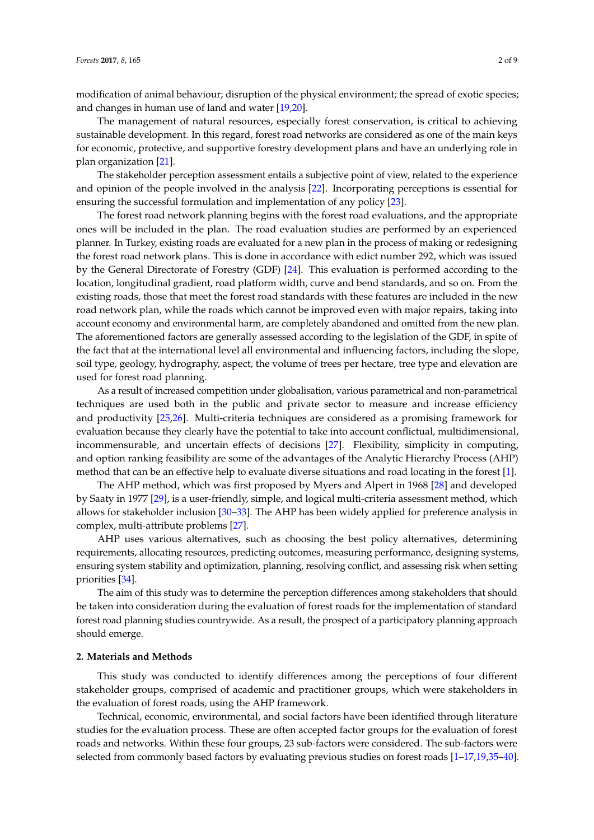modification of animal behaviour; disruption of the physical environment; the spread of exotic species; and changes in human use of land and water [\[19](#page-7-7)[,20\]](#page-7-8).

The management of natural resources, especially forest conservation, is critical to achieving sustainable development. In this regard, forest road networks are considered as one of the main keys for economic, protective, and supportive forestry development plans and have an underlying role in plan organization [\[21\]](#page-7-9).

The stakeholder perception assessment entails a subjective point of view, related to the experience and opinion of the people involved in the analysis [\[22\]](#page-8-0). Incorporating perceptions is essential for ensuring the successful formulation and implementation of any policy [\[23\]](#page-8-1).

The forest road network planning begins with the forest road evaluations, and the appropriate ones will be included in the plan. The road evaluation studies are performed by an experienced planner. In Turkey, existing roads are evaluated for a new plan in the process of making or redesigning the forest road network plans. This is done in accordance with edict number 292, which was issued by the General Directorate of Forestry (GDF) [\[24\]](#page-8-2). This evaluation is performed according to the location, longitudinal gradient, road platform width, curve and bend standards, and so on. From the existing roads, those that meet the forest road standards with these features are included in the new road network plan, while the roads which cannot be improved even with major repairs, taking into account economy and environmental harm, are completely abandoned and omitted from the new plan. The aforementioned factors are generally assessed according to the legislation of the GDF, in spite of the fact that at the international level all environmental and influencing factors, including the slope, soil type, geology, hydrography, aspect, the volume of trees per hectare, tree type and elevation are used for forest road planning.

As a result of increased competition under globalisation, various parametrical and non-parametrical techniques are used both in the public and private sector to measure and increase efficiency and productivity [\[25](#page-8-3)[,26\]](#page-8-4). Multi-criteria techniques are considered as a promising framework for evaluation because they clearly have the potential to take into account conflictual, multidimensional, incommensurable, and uncertain effects of decisions [\[27\]](#page-8-5). Flexibility, simplicity in computing, and option ranking feasibility are some of the advantages of the Analytic Hierarchy Process (AHP) method that can be an effective help to evaluate diverse situations and road locating in the forest [\[1\]](#page-7-0).

The AHP method, which was first proposed by Myers and Alpert in 1968 [\[28\]](#page-8-6) and developed by Saaty in 1977 [\[29\]](#page-8-7), is a user-friendly, simple, and logical multi-criteria assessment method, which allows for stakeholder inclusion [\[30](#page-8-8)[–33\]](#page-8-9). The AHP has been widely applied for preference analysis in complex, multi-attribute problems [\[27\]](#page-8-5).

AHP uses various alternatives, such as choosing the best policy alternatives, determining requirements, allocating resources, predicting outcomes, measuring performance, designing systems, ensuring system stability and optimization, planning, resolving conflict, and assessing risk when setting priorities [\[34\]](#page-8-10).

The aim of this study was to determine the perception differences among stakeholders that should be taken into consideration during the evaluation of forest roads for the implementation of standard forest road planning studies countrywide. As a result, the prospect of a participatory planning approach should emerge.

#### **2. Materials and Methods**

This study was conducted to identify differences among the perceptions of four different stakeholder groups, comprised of academic and practitioner groups, which were stakeholders in the evaluation of forest roads, using the AHP framework.

Technical, economic, environmental, and social factors have been identified through literature studies for the evaluation process. These are often accepted factor groups for the evaluation of forest roads and networks. Within these four groups, 23 sub-factors were considered. The sub-factors were selected from commonly based factors by evaluating previous studies on forest roads [\[1–](#page-7-0)[17](#page-7-5)[,19](#page-7-7)[,35–](#page-8-11)[40\]](#page-8-12).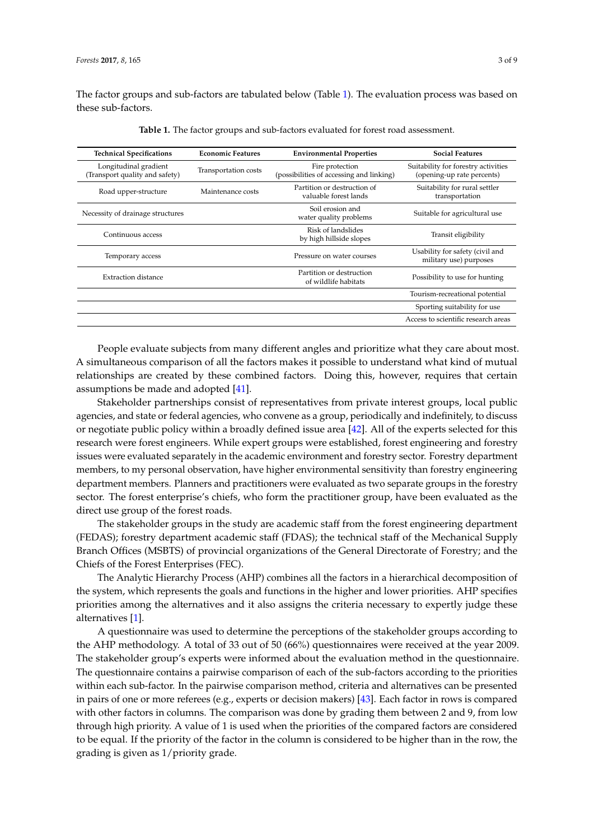<span id="page-2-0"></span>The factor groups and sub-factors are tabulated below (Table [1\)](#page-2-0). The evaluation process was based on these sub-factors.

| <b>Technical Specifications</b>                         | <b>Economic Features</b> | <b>Environmental Properties</b>                             | <b>Social Features</b>                                            |  |  |
|---------------------------------------------------------|--------------------------|-------------------------------------------------------------|-------------------------------------------------------------------|--|--|
| Longitudinal gradient<br>(Transport quality and safety) | Transportation costs     | Fire protection<br>(possibilities of accessing and linking) | Suitability for forestry activities<br>(opening-up rate percents) |  |  |
| Road upper-structure                                    | Maintenance costs        | Partition or destruction of<br>valuable forest lands        | Suitability for rural settler<br>transportation                   |  |  |
| Necessity of drainage structures                        |                          | Soil erosion and<br>water quality problems                  | Suitable for agricultural use                                     |  |  |
| Continuous access                                       |                          | Risk of landslides<br>by high hillside slopes               | Transit eligibility                                               |  |  |
| Temporary access                                        |                          | Pressure on water courses                                   | Usability for safety (civil and<br>military use) purposes         |  |  |
| <b>Extraction distance</b>                              |                          | Partition or destruction<br>of wildlife habitats            | Possibility to use for hunting                                    |  |  |
|                                                         |                          |                                                             | Tourism-recreational potential                                    |  |  |
|                                                         |                          |                                                             | Sporting suitability for use                                      |  |  |
|                                                         |                          |                                                             | Access to scientific research areas                               |  |  |

**Table 1.** The factor groups and sub-factors evaluated for forest road assessment.

People evaluate subjects from many different angles and prioritize what they care about most. A simultaneous comparison of all the factors makes it possible to understand what kind of mutual relationships are created by these combined factors. Doing this, however, requires that certain assumptions be made and adopted [\[41\]](#page-8-13).

Stakeholder partnerships consist of representatives from private interest groups, local public agencies, and state or federal agencies, who convene as a group, periodically and indefinitely, to discuss or negotiate public policy within a broadly defined issue area [\[42\]](#page-8-14). All of the experts selected for this research were forest engineers. While expert groups were established, forest engineering and forestry issues were evaluated separately in the academic environment and forestry sector. Forestry department members, to my personal observation, have higher environmental sensitivity than forestry engineering department members. Planners and practitioners were evaluated as two separate groups in the forestry sector. The forest enterprise's chiefs, who form the practitioner group, have been evaluated as the direct use group of the forest roads.

The stakeholder groups in the study are academic staff from the forest engineering department (FEDAS); forestry department academic staff (FDAS); the technical staff of the Mechanical Supply Branch Offices (MSBTS) of provincial organizations of the General Directorate of Forestry; and the Chiefs of the Forest Enterprises (FEC).

The Analytic Hierarchy Process (AHP) combines all the factors in a hierarchical decomposition of the system, which represents the goals and functions in the higher and lower priorities. AHP specifies priorities among the alternatives and it also assigns the criteria necessary to expertly judge these alternatives [\[1\]](#page-7-0).

A questionnaire was used to determine the perceptions of the stakeholder groups according to the AHP methodology. A total of 33 out of 50 (66%) questionnaires were received at the year 2009. The stakeholder group's experts were informed about the evaluation method in the questionnaire. The questionnaire contains a pairwise comparison of each of the sub-factors according to the priorities within each sub-factor. In the pairwise comparison method, criteria and alternatives can be presented in pairs of one or more referees (e.g., experts or decision makers) [\[43\]](#page-8-15). Each factor in rows is compared with other factors in columns. The comparison was done by grading them between 2 and 9, from low through high priority. A value of 1 is used when the priorities of the compared factors are considered to be equal. If the priority of the factor in the column is considered to be higher than in the row, the grading is given as 1/priority grade.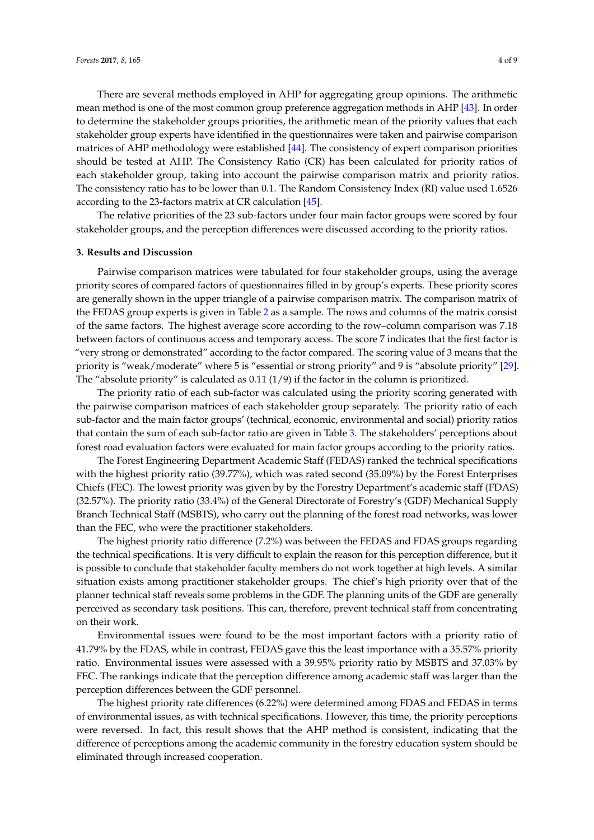There are several methods employed in AHP for aggregating group opinions. The arithmetic mean method is one of the most common group preference aggregation methods in AHP [\[43\]](#page-8-15). In order to determine the stakeholder groups priorities, the arithmetic mean of the priority values that each stakeholder group experts have identified in the questionnaires were taken and pairwise comparison matrices of AHP methodology were established [\[44\]](#page-8-16). The consistency of expert comparison priorities should be tested at AHP. The Consistency Ratio (CR) has been calculated for priority ratios of each stakeholder group, taking into account the pairwise comparison matrix and priority ratios. The consistency ratio has to be lower than 0.1. The Random Consistency Index (RI) value used 1.6526 according to the 23-factors matrix at CR calculation [\[45\]](#page-8-17).

The relative priorities of the 23 sub-factors under four main factor groups were scored by four stakeholder groups, and the perception differences were discussed according to the priority ratios.

#### **3. Results and Discussion**

Pairwise comparison matrices were tabulated for four stakeholder groups, using the average priority scores of compared factors of questionnaires filled in by group's experts. These priority scores are generally shown in the upper triangle of a pairwise comparison matrix. The comparison matrix of the FEDAS group experts is given in Table [2](#page-4-0) as a sample. The rows and columns of the matrix consist of the same factors. The highest average score according to the row–column comparison was 7.18 between factors of continuous access and temporary access. The score 7 indicates that the first factor is "very strong or demonstrated" according to the factor compared. The scoring value of 3 means that the priority is "weak/moderate" where 5 is "essential or strong priority" and 9 is "absolute priority" [\[29\]](#page-8-7). The "absolute priority" is calculated as  $0.11 (1/9)$  if the factor in the column is prioritized.

The priority ratio of each sub-factor was calculated using the priority scoring generated with the pairwise comparison matrices of each stakeholder group separately. The priority ratio of each sub-factor and the main factor groups' (technical, economic, environmental and social) priority ratios that contain the sum of each sub-factor ratio are given in Table [3.](#page-5-0) The stakeholders' perceptions about forest road evaluation factors were evaluated for main factor groups according to the priority ratios.

The Forest Engineering Department Academic Staff (FEDAS) ranked the technical specifications with the highest priority ratio (39.77%), which was rated second (35.09%) by the Forest Enterprises Chiefs (FEC). The lowest priority was given by by the Forestry Department's academic staff (FDAS) (32.57%). The priority ratio (33.4%) of the General Directorate of Forestry's (GDF) Mechanical Supply Branch Technical Staff (MSBTS), who carry out the planning of the forest road networks, was lower than the FEC, who were the practitioner stakeholders.

The highest priority ratio difference (7.2%) was between the FEDAS and FDAS groups regarding the technical specifications. It is very difficult to explain the reason for this perception difference, but it is possible to conclude that stakeholder faculty members do not work together at high levels. A similar situation exists among practitioner stakeholder groups. The chief's high priority over that of the planner technical staff reveals some problems in the GDF. The planning units of the GDF are generally perceived as secondary task positions. This can, therefore, prevent technical staff from concentrating on their work.

Environmental issues were found to be the most important factors with a priority ratio of 41.79% by the FDAS, while in contrast, FEDAS gave this the least importance with a 35.57% priority ratio. Environmental issues were assessed with a 39.95% priority ratio by MSBTS and 37.03% by FEC. The rankings indicate that the perception difference among academic staff was larger than the perception differences between the GDF personnel.

The highest priority rate differences (6.22%) were determined among FDAS and FEDAS in terms of environmental issues, as with technical specifications. However, this time, the priority perceptions were reversed. In fact, this result shows that the AHP method is consistent, indicating that the difference of perceptions among the academic community in the forestry education system should be eliminated through increased cooperation.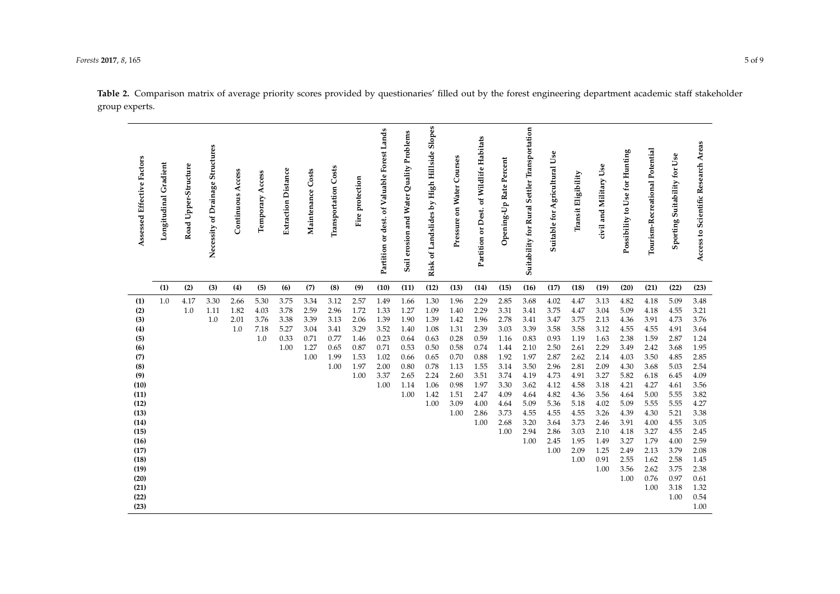<span id="page-4-0"></span>

| Assessed Effective Factors | Longitudinal Gradient | Road Upper-Structure | Necessity of Drainage Structures | Continuous Access | Temporary Access | <b>Extraction Distance</b> | Maintenance Costs | <b>Transportation Costs</b> | Fire protection | Partition or dest. of Valuable Forest Lands | Soil erosion and Water Quality Problems | Risk of Landslides by High Hillside Slopes | Pressure on Water Courses | of Wildlife Habitats<br>Partition or Dest. | Opening-Up Rate Percent | Suitability for Rural Settler Transportation | Jse<br>Suitable for Agricultural | Transit Eligibility | civil and Military Use | Possibility to Use for Hunting | Tourism-Recreational Potential | Sporting Suitability for Use | Access to Scientific Research Areas |
|----------------------------|-----------------------|----------------------|----------------------------------|-------------------|------------------|----------------------------|-------------------|-----------------------------|-----------------|---------------------------------------------|-----------------------------------------|--------------------------------------------|---------------------------|--------------------------------------------|-------------------------|----------------------------------------------|----------------------------------|---------------------|------------------------|--------------------------------|--------------------------------|------------------------------|-------------------------------------|
|                            | (1)                   | (2)                  | (3)                              | (4)               | (5)              | (6)                        | (7)               | (8)                         | (9)             | (10)                                        | (11)                                    | (12)                                       | (13)                      | (14)                                       | (15)                    | (16)                                         | (17)                             | (18)                | (19)                   | (20)                           | (21)                           | (22)                         | (23)                                |
| (1)                        | 1.0                   | 4.17<br>1.0          | 3.30                             | 2.66              | 5.30<br>4.03     | 3.75<br>3.78               | 3.34<br>2.59      | 3.12<br>2.96                | 2.57<br>1.72    | 1.49<br>1.33                                | 1.66                                    | 1.30                                       | 1.96<br>1.40              | 2.29<br>2.29                               | 2.85                    | 3.68<br>3.41                                 | 4.02                             | 4.47                | 3.13                   | 4.82                           | 4.18                           | 5.09                         | 3.48<br>3.21                        |
| (2)<br>(3)                 |                       |                      | 1.11<br>1.0                      | 1.82<br>2.01      | 3.76             | 3.38                       | 3.39              | 3.13                        | 2.06            | 1.39                                        | 1.27<br>1.90                            | 1.09<br>1.39                               | 1.42                      | 1.96                                       | 3.31<br>2.78            | 3.41                                         | 3.75<br>3.47                     | 4.47<br>3.75        | 3.04<br>2.13           | 5.09<br>4.36                   | 4.18<br>3.91                   | 4.55<br>4.73                 | 3.76                                |
| (4)                        |                       |                      |                                  | 1.0               | 7.18             | 5.27                       | 3.04              | 3.41                        | 3.29            | 3.52                                        | 1.40                                    | 1.08                                       | 1.31                      | 2.39                                       | 3.03                    | 3.39                                         | 3.58                             | 3.58                | 3.12                   | 4.55                           | 4.55                           | 4.91                         | 3.64                                |
| (5)                        |                       |                      |                                  |                   | 1.0              | 0.33                       | 0.71              | 0.77                        | 1.46            | 0.23                                        | 0.64                                    | 0.63                                       | 0.28                      | 0.59                                       | 1.16                    | 0.83                                         | 0.93                             | 1.19                | 1.63                   | 2.38                           | 1.59                           | 2.87                         | 1.24                                |
| (6)                        |                       |                      |                                  |                   |                  | 1.00                       | 1.27              | 0.65                        | 0.87            | 0.71                                        | 0.53                                    | 0.50                                       | 0.58                      | 0.74                                       | 1.44                    | 2.10                                         | 2.50                             | 2.61                | 2.29                   | 3.49                           | 2.42                           | 3.68                         | 1.95                                |
| (7)                        |                       |                      |                                  |                   |                  |                            | 1.00              | 1.99                        | 1.53            | 1.02                                        | 0.66                                    | 0.65                                       | 0.70                      | 0.88                                       | 1.92                    | 1.97                                         | 2.87                             | 2.62                | 2.14                   | 4.03                           | 3.50                           | 4.85                         | 2.85                                |
| (8)                        |                       |                      |                                  |                   |                  |                            |                   | 1.00                        | 1.97            | 2.00                                        | 0.80                                    | 0.78                                       | 1.13                      | 1.55                                       | 3.14                    | 3.50                                         | 2.96                             | 2.81                | 2.09                   | 4.30                           | 3.68                           | 5.03                         | 2.54                                |
| (9)                        |                       |                      |                                  |                   |                  |                            |                   |                             | 1.00            | 3.37                                        | 2.65                                    | 2.24                                       | 2.60                      | 3.51                                       | 3.74                    | 4.19                                         | 4.73                             | 4.91                | 3.27                   | 5.82                           | 6.18                           | 6.45                         | 4.09                                |
| (10)                       |                       |                      |                                  |                   |                  |                            |                   |                             |                 | 1.00                                        | 1.14                                    | 1.06                                       | 0.98                      | 1.97                                       | 3.30                    | 3.62                                         | 4.12                             | 4.58                | 3.18                   | 4.21                           | 4.27                           | 4.61                         | 3.56                                |
| (11)                       |                       |                      |                                  |                   |                  |                            |                   |                             |                 |                                             | 1.00                                    | 1.42                                       | 1.51                      | 2.47                                       | 4.09                    | 4.64                                         | 4.82                             | 4.36                | 3.56                   | 4.64                           | 5.00                           | 5.55                         | 3.82                                |
| (12)                       |                       |                      |                                  |                   |                  |                            |                   |                             |                 |                                             |                                         | 1.00                                       | 3.09                      | 4.00                                       | 4.64                    | 5.09                                         | 5.36                             | 5.18                | 4.02                   | 5.09                           | 5.55                           | 5.55                         | 4.27                                |
| (13)                       |                       |                      |                                  |                   |                  |                            |                   |                             |                 |                                             |                                         |                                            | 1.00                      | 2.86                                       | 3.73                    | 4.55                                         | 4.55                             | 4.55                | 3.26                   | 4.39                           | 4.30                           | 5.21                         | 3.38                                |
| (14)                       |                       |                      |                                  |                   |                  |                            |                   |                             |                 |                                             |                                         |                                            |                           | 1.00                                       | 2.68                    | 3.20                                         | 3.64                             | 3.73                | 2.46                   | 3.91                           | 4.00                           | 4.55                         | 3.05                                |
| (15)                       |                       |                      |                                  |                   |                  |                            |                   |                             |                 |                                             |                                         |                                            |                           |                                            | 1.00                    | 2.94                                         | 2.86                             | 3.03                | 2.10                   | 4.18                           | 3.27                           | 4.55                         | 2.45                                |
| (16)                       |                       |                      |                                  |                   |                  |                            |                   |                             |                 |                                             |                                         |                                            |                           |                                            |                         | 1.00                                         | 2.45                             | 1.95                | 1.49                   | 3.27                           | 1.79                           | 4.00                         | 2.59                                |
| (17)                       |                       |                      |                                  |                   |                  |                            |                   |                             |                 |                                             |                                         |                                            |                           |                                            |                         |                                              | 1.00                             | 2.09                | 1.25                   | 2.49                           | 2.13                           | 3.79                         | 2.08                                |
| (18)                       |                       |                      |                                  |                   |                  |                            |                   |                             |                 |                                             |                                         |                                            |                           |                                            |                         |                                              |                                  | 1.00                | 0.91                   | 2.55                           | 1.62                           | 2.58                         | 1.45                                |
| (19)                       |                       |                      |                                  |                   |                  |                            |                   |                             |                 |                                             |                                         |                                            |                           |                                            |                         |                                              |                                  |                     | 1.00                   | 3.56                           | 2.62                           | 3.75                         | 2.38                                |
| (20)                       |                       |                      |                                  |                   |                  |                            |                   |                             |                 |                                             |                                         |                                            |                           |                                            |                         |                                              |                                  |                     |                        | 1.00                           | 0.76                           | 0.97                         | 0.61                                |
| (21)                       |                       |                      |                                  |                   |                  |                            |                   |                             |                 |                                             |                                         |                                            |                           |                                            |                         |                                              |                                  |                     |                        |                                | 1.00                           | 3.18                         | 1.32                                |
| (22)<br>(23)               |                       |                      |                                  |                   |                  |                            |                   |                             |                 |                                             |                                         |                                            |                           |                                            |                         |                                              |                                  |                     |                        |                                |                                | 1.00                         | 0.54<br>1.00                        |
|                            |                       |                      |                                  |                   |                  |                            |                   |                             |                 |                                             |                                         |                                            |                           |                                            |                         |                                              |                                  |                     |                        |                                |                                |                              |                                     |

**Table 2.** Comparison matrix of average priority scores provided by questionaries' filled out by the forest engineering department academic staff stakeholder group experts.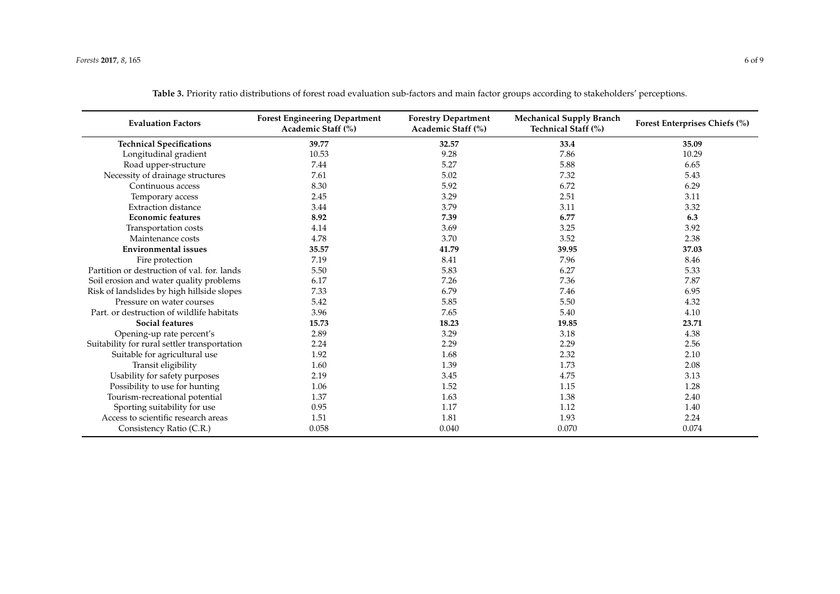<span id="page-5-0"></span>

| <b>Evaluation Factors</b>                    | <b>Forest Engineering Department</b><br>Academic Staff (%) | <b>Forestry Department</b><br>Academic Staff (%) | <b>Mechanical Supply Branch</b><br>Technical Staff (%) | Forest Enterprises Chiefs (%) |  |  |
|----------------------------------------------|------------------------------------------------------------|--------------------------------------------------|--------------------------------------------------------|-------------------------------|--|--|
| <b>Technical Specifications</b>              | 39.77                                                      | 32.57                                            | 33.4                                                   | 35.09                         |  |  |
| Longitudinal gradient                        | 10.53                                                      | 9.28                                             | 7.86                                                   | 10.29                         |  |  |
| Road upper-structure                         | 7.44                                                       | 5.27                                             | 5.88                                                   | 6.65                          |  |  |
| Necessity of drainage structures             | 7.61                                                       | 5.02                                             | 7.32                                                   | 5.43                          |  |  |
| Continuous access                            | 8.30                                                       | 5.92                                             | 6.72                                                   | 6.29                          |  |  |
| Temporary access                             | 2.45                                                       | 3.29                                             | 2.51                                                   | 3.11                          |  |  |
| <b>Extraction distance</b>                   | 3.44                                                       | 3.79                                             | 3.11                                                   | 3.32                          |  |  |
| <b>Economic features</b>                     | 8.92                                                       | 7.39                                             | 6.77                                                   | 6.3                           |  |  |
| Transportation costs                         | 4.14                                                       | 3.69                                             | 3.25                                                   | 3.92                          |  |  |
| Maintenance costs                            | 4.78                                                       | 3.70                                             | 3.52                                                   | 2.38                          |  |  |
| <b>Environmental issues</b>                  | 35.57                                                      | 41.79                                            | 39.95                                                  | 37.03                         |  |  |
| Fire protection                              | 7.19                                                       | 8.41                                             | 7.96                                                   | 8.46                          |  |  |
| Partition or destruction of val. for. lands  | 5.50                                                       | 5.83                                             | 6.27                                                   | 5.33                          |  |  |
| Soil erosion and water quality problems      | 6.17                                                       | 7.26                                             | 7.36                                                   | 7.87                          |  |  |
| Risk of landslides by high hillside slopes   | 7.33                                                       | 6.79                                             | 7.46                                                   | 6.95                          |  |  |
| Pressure on water courses                    | 5.42                                                       | 5.85                                             | 5.50                                                   | 4.32                          |  |  |
| Part, or destruction of wildlife habitats    | 3.96                                                       | 7.65                                             | 5.40                                                   | 4.10                          |  |  |
| <b>Social features</b>                       | 15.73                                                      | 18.23                                            | 19.85                                                  | 23.71                         |  |  |
| Opening-up rate percent's                    | 2.89                                                       | 3.29                                             | 3.18                                                   | 4.38                          |  |  |
| Suitability for rural settler transportation | 2.24                                                       | 2.29                                             | 2.29                                                   | 2.56                          |  |  |
| Suitable for agricultural use                | 1.92                                                       | 1.68                                             | 2.32                                                   | 2.10                          |  |  |
| Transit eligibility                          | 1.60                                                       | 1.39                                             | 1.73                                                   | 2.08                          |  |  |
| Usability for safety purposes                | 2.19                                                       | 3.45                                             | 4.75                                                   | 3.13                          |  |  |
| Possibility to use for hunting               | 1.06                                                       | 1.52                                             | 1.15                                                   | 1.28                          |  |  |
| Tourism-recreational potential               | 1.37                                                       | 1.63                                             | 1.38                                                   | 2.40                          |  |  |
| Sporting suitability for use                 | 0.95                                                       | 1.17                                             | 1.12                                                   | 1.40                          |  |  |
| Access to scientific research areas          | 1.51                                                       | 1.81                                             | 1.93                                                   | 2.24                          |  |  |
| Consistency Ratio (C.R.)                     | 0.058                                                      | 0.040                                            | 0.070                                                  | 0.074                         |  |  |

**Table 3.** Priority ratio distributions of forest road evaluation sub-factors and main factor groups according to stakeholders' perceptions.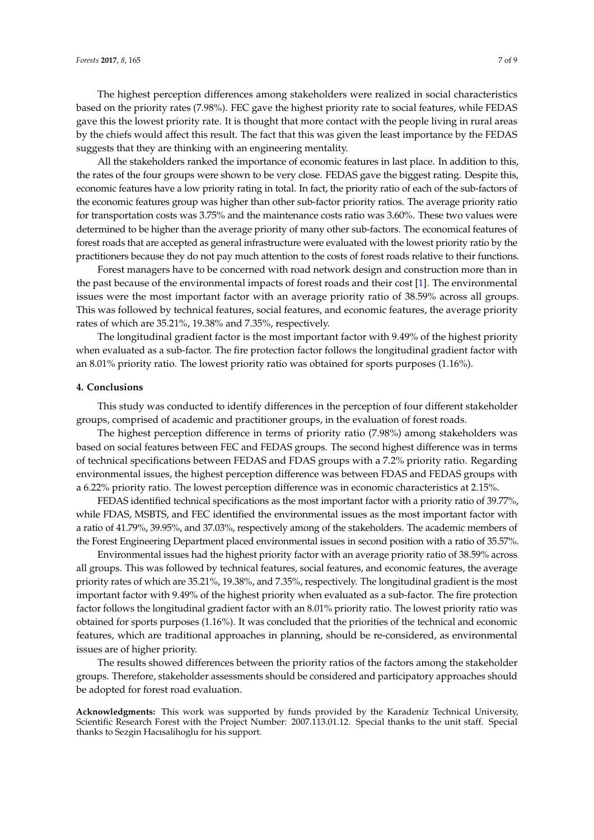The highest perception differences among stakeholders were realized in social characteristics based on the priority rates (7.98%). FEC gave the highest priority rate to social features, while FEDAS gave this the lowest priority rate. It is thought that more contact with the people living in rural areas by the chiefs would affect this result. The fact that this was given the least importance by the FEDAS suggests that they are thinking with an engineering mentality.

All the stakeholders ranked the importance of economic features in last place. In addition to this, the rates of the four groups were shown to be very close. FEDAS gave the biggest rating. Despite this, economic features have a low priority rating in total. In fact, the priority ratio of each of the sub-factors of the economic features group was higher than other sub-factor priority ratios. The average priority ratio for transportation costs was 3.75% and the maintenance costs ratio was 3.60%. These two values were determined to be higher than the average priority of many other sub-factors. The economical features of forest roads that are accepted as general infrastructure were evaluated with the lowest priority ratio by the practitioners because they do not pay much attention to the costs of forest roads relative to their functions.

Forest managers have to be concerned with road network design and construction more than in the past because of the environmental impacts of forest roads and their cost [\[1\]](#page-7-0). The environmental issues were the most important factor with an average priority ratio of 38.59% across all groups. This was followed by technical features, social features, and economic features, the average priority rates of which are 35.21%, 19.38% and 7.35%, respectively.

The longitudinal gradient factor is the most important factor with 9.49% of the highest priority when evaluated as a sub-factor. The fire protection factor follows the longitudinal gradient factor with an 8.01% priority ratio. The lowest priority ratio was obtained for sports purposes (1.16%).

### **4. Conclusions**

This study was conducted to identify differences in the perception of four different stakeholder groups, comprised of academic and practitioner groups, in the evaluation of forest roads.

The highest perception difference in terms of priority ratio (7.98%) among stakeholders was based on social features between FEC and FEDAS groups. The second highest difference was in terms of technical specifications between FEDAS and FDAS groups with a 7.2% priority ratio. Regarding environmental issues, the highest perception difference was between FDAS and FEDAS groups with a 6.22% priority ratio. The lowest perception difference was in economic characteristics at 2.15%.

FEDAS identified technical specifications as the most important factor with a priority ratio of 39.77%, while FDAS, MSBTS, and FEC identified the environmental issues as the most important factor with a ratio of 41.79%, 39.95%, and 37.03%, respectively among of the stakeholders. The academic members of the Forest Engineering Department placed environmental issues in second position with a ratio of 35.57%.

Environmental issues had the highest priority factor with an average priority ratio of 38.59% across all groups. This was followed by technical features, social features, and economic features, the average priority rates of which are 35.21%, 19.38%, and 7.35%, respectively. The longitudinal gradient is the most important factor with 9.49% of the highest priority when evaluated as a sub-factor. The fire protection factor follows the longitudinal gradient factor with an 8.01% priority ratio. The lowest priority ratio was obtained for sports purposes (1.16%). It was concluded that the priorities of the technical and economic features, which are traditional approaches in planning, should be re-considered, as environmental issues are of higher priority.

The results showed differences between the priority ratios of the factors among the stakeholder groups. Therefore, stakeholder assessments should be considered and participatory approaches should be adopted for forest road evaluation.

**Acknowledgments:** This work was supported by funds provided by the Karadeniz Technical University, Scientific Research Forest with the Project Number: 2007.113.01.12. Special thanks to the unit staff. Special thanks to Sezgin Hacısalihoglu for his support.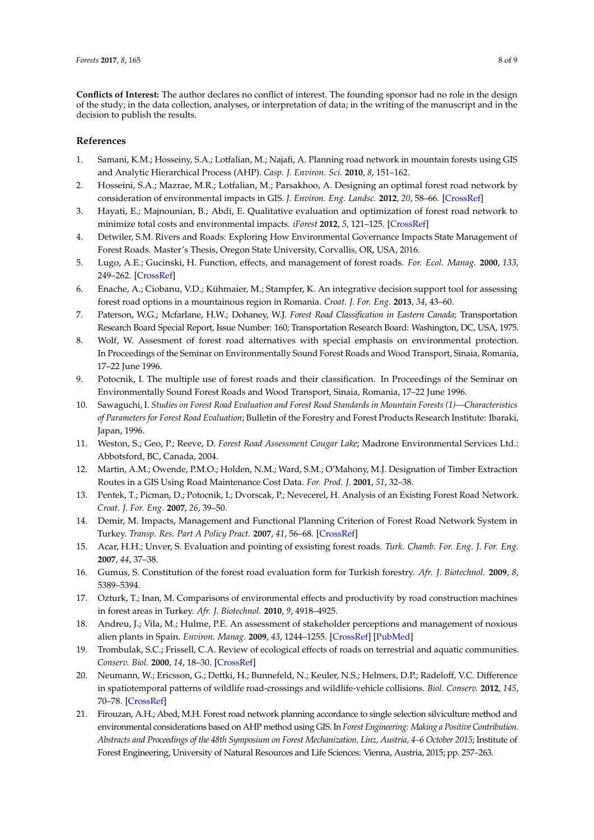**Conflicts of Interest:** The author declares no conflict of interest. The founding sponsor had no role in the design of the study; in the data collection, analyses, or interpretation of data; in the writing of the manuscript and in the decision to publish the results.

#### **References**

- <span id="page-7-0"></span>1. Samani, K.M.; Hosseiny, S.A.; Lotfalian, M.; Najafi, A. Planning road network in mountain forests using GIS and Analytic Hierarchical Process (AHP). *Casp. J. Environ. Sci.* **2010**, *8*, 151–162.
- 2. Hosseini, S.A.; Mazrae, M.R.; Lotfalian, M.; Parsakhoo, A. Designing an optimal forest road network by consideration of environmental impacts in GIS. *J. Environ. Eng. Landsc.* **2012**, *20*, 58–66. [\[CrossRef\]](http://dx.doi.org/10.3846/16486897.2012.662748)
- 3. Hayati, E.; Majnounian, B.; Abdi, E. Qualitative evaluation and optimization of forest road network to minimize total costs and environmental impacts. *iForest* **2012**, *5*, 121–125. [\[CrossRef\]](http://dx.doi.org/10.3832/ifor0610-009)
- <span id="page-7-1"></span>4. Detwiler, S.M. Rivers and Roads: Exploring How Environmental Governance Impacts State Management of Forest Roads. Master's Thesis, Oregon State University, Corvallis, OR, USA, 2016.
- <span id="page-7-2"></span>5. Lugo, A.E.; Gucinski, H. Function, effects, and management of forest roads. *For. Ecol. Manag.* **2000**, *133*, 249–262. [\[CrossRef\]](http://dx.doi.org/10.1016/S0378-1127(99)00237-6)
- <span id="page-7-3"></span>6. Enache, A.; Ciobanu, V.D.; Kühmaier, M.; Stampfer, K. An integrative decision support tool for assessing forest road options in a mountainous region in Romania. *Croat. J. For. Eng.* **2013**, *34*, 43–60.
- <span id="page-7-4"></span>7. Paterson, W.G.; Mcfarlane, H.W.; Dohaney, W.J. *Forest Road Classification in Eastern Canada*; Transportation Research Board Special Report, Issue Number: 160; Transportation Research Board: Washington, DC, USA, 1975.
- 8. Wolf, W. Assesment of forest road alternatives with special emphasis on environmental protection. In Proceedings of the Seminar on Environmentally Sound Forest Roads and Wood Transport, Sinaia, Romania, 17–22 June 1996.
- 9. Potocnik, I. The multiple use of forest roads and their classification. In Proceedings of the Seminar on Environmentally Sound Forest Roads and Wood Transport, Sinaia, Romania, 17–22 June 1996.
- 10. Sawaguchi, I. *Studies on Forest Road Evaluation and Forest Road Standards in Mountain Forests (1)—Characteristics of Parameters for Forest Road Evaluation*; Bulletin of the Forestry and Forest Products Research Institute: Ibaraki, Japan, 1996.
- 11. Weston, S.; Geo, P.; Reeve, D. *Forest Road Assessment Cougar Lake*; Madrone Environmental Services Ltd.: Abbotsford, BC, Canada, 2004.
- 12. Martin, A.M.; Owende, P.M.O.; Holden, N.M.; Ward, S.M.; O'Mahony, M.J. Designation of Timber Extraction Routes in a GIS Using Road Maintenance Cost Data. *For. Prod. J.* **2001**, *51*, 32–38.
- 13. Pentek, T.; Picman, D.; Potocnik, I.; Dvorscak, P.; Nevecerel, H. Analysis of an Existing Forest Road Network. *Croat. J. For. Eng.* **2007**, *26*, 39–50.
- 14. Demir, M. Impacts, Management and Functional Planning Criterion of Forest Road Network System in Turkey. *Transp. Res. Part A Policy Pract.* **2007**, *41*, 56–68. [\[CrossRef\]](http://dx.doi.org/10.1016/j.tra.2006.05.006)
- 15. Acar, H.H.; Unver, S. Evaluation and pointing of exsisting forest roads. *Turk. Chamb. For. Eng. J. For. Eng.* **2007**, *44*, 37–38.
- 16. Gumus, S. Constitution of the forest road evaluation form for Turkish forestry. *Afr. J. Biotechnol.* **2009**, *8*, 5389–5394.
- <span id="page-7-5"></span>17. Ozturk, T.; Inan, M. Comparisons of environmental effects and productivity by road construction machines in forest areas in Turkey. *Afr. J. Biotechnol.* **2010**, *9*, 4918–4925.
- <span id="page-7-6"></span>18. Andreu, J.; Vila, M.; Hulme, P.E. An assessment of stakeholder perceptions and management of noxious alien plants in Spain. *Environ. Manag.* **2009**, *43*, 1244–1255. [\[CrossRef\]](http://dx.doi.org/10.1007/s00267-009-9280-1) [\[PubMed\]](http://www.ncbi.nlm.nih.gov/pubmed/19214625)
- <span id="page-7-7"></span>19. Trombulak, S.C.; Frissell, C.A. Review of ecological effects of roads on terrestrial and aquatic communities. *Conserv. Biol.* **2000**, *14*, 18–30. [\[CrossRef\]](http://dx.doi.org/10.1046/j.1523-1739.2000.99084.x)
- <span id="page-7-8"></span>20. Neumann, W.; Ericsson, G.; Dettki, H.; Bunnefeld, N.; Keuler, N.S.; Helmers, D.P.; Radeloff, V.C. Difference in spatiotemporal patterns of wildlife road-crossings and wildlife-vehicle collisions. *Biol. Conserv.* **2012**, *145*, 70–78. [\[CrossRef\]](http://dx.doi.org/10.1016/j.biocon.2011.10.011)
- <span id="page-7-9"></span>21. Firouzan, A.H.; Abed, M.H. Forest road network planning accordance to single selection silviculture method and environmental considerations based on AHP method using GIS. In *Forest Engineering: Making a Positive Contribution. Abstracts and Proceedings of the 48th Symposium on Forest Mechanization, Linz, Austria, 4–6 October 2015*; Institute of Forest Engineering, University of Natural Resources and Life Sciences: Vienna, Austria, 2015; pp. 257–263.